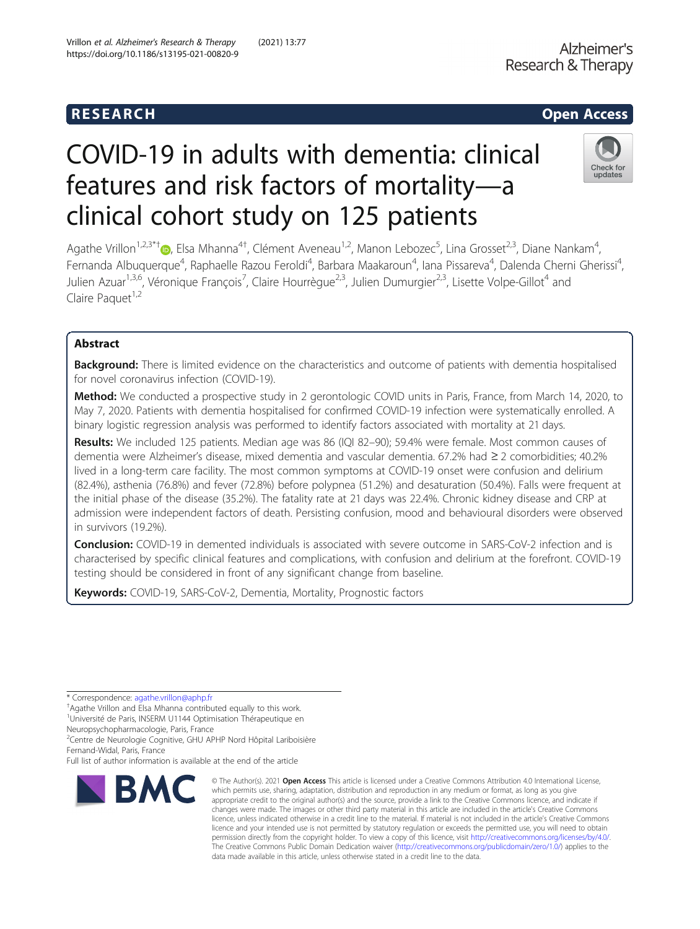# COVID-19 in adults with dementia: clinical features and risk factors of mortality—a clinical cohort study on 125 patients



Agathe Vrillon<sup>1,2,3\*†</sup>®, Elsa Mhanna<sup>4†</sup>, Clément Aveneau<sup>1,2</sup>, Manon Lebozec<sup>5</sup>, Lina Grosset<sup>2,3</sup>, Diane Nankam<sup>4</sup> , Fernanda Albuquerque<sup>4</sup>, Raphaelle Razou Feroldi<sup>4</sup>, Barbara Maakaroun<sup>4</sup>, Iana Pissareva<sup>4</sup>, Dalenda Cherni Gherissi<sup>4</sup> , Julien Azuar<sup>1,3,6</sup>, Véronique François<sup>7</sup>, Claire Hourrègue<sup>2,3</sup>, Julien Dumurgier<sup>2,3</sup>, Lisette Volpe-Gillot<sup>4</sup> and Claire Paquet<sup>1,2</sup>

# Abstract

Background: There is limited evidence on the characteristics and outcome of patients with dementia hospitalised for novel coronavirus infection (COVID-19).

Method: We conducted a prospective study in 2 gerontologic COVID units in Paris, France, from March 14, 2020, to May 7, 2020. Patients with dementia hospitalised for confirmed COVID-19 infection were systematically enrolled. A binary logistic regression analysis was performed to identify factors associated with mortality at 21 days.

Results: We included 125 patients. Median age was 86 (IQI 82-90); 59.4% were female. Most common causes of dementia were Alzheimer's disease, mixed dementia and vascular dementia. 67.2% had ≥ 2 comorbidities; 40.2% lived in a long-term care facility. The most common symptoms at COVID-19 onset were confusion and delirium (82.4%), asthenia (76.8%) and fever (72.8%) before polypnea (51.2%) and desaturation (50.4%). Falls were frequent at the initial phase of the disease (35.2%). The fatality rate at 21 days was 22.4%. Chronic kidney disease and CRP at admission were independent factors of death. Persisting confusion, mood and behavioural disorders were observed in survivors (19.2%).

Conclusion: COVID-19 in demented individuals is associated with severe outcome in SARS-CoV-2 infection and is characterised by specific clinical features and complications, with confusion and delirium at the forefront. COVID-19 testing should be considered in front of any significant change from baseline.

Keywords: COVID-19, SARS-CoV-2, Dementia, Mortality, Prognostic factors

\* Correspondence: [agathe.vrillon@aphp.fr](mailto:agathe.vrillon@aphp.fr) †

<sup>+</sup>Agathe Vrillon and Elsa Mhanna contributed equally to this work.

<sup>1</sup>Université de Paris, INSERM U1144 Optimisation Thérapeutique en

Neuropsychopharmacologie, Paris, France

2 Centre de Neurologie Cognitive, GHU APHP Nord Hôpital Lariboisière

Full list of author information is available at the end of the article



<sup>©</sup> The Author(s), 2021 **Open Access** This article is licensed under a Creative Commons Attribution 4.0 International License, which permits use, sharing, adaptation, distribution and reproduction in any medium or format, as long as you give appropriate credit to the original author(s) and the source, provide a link to the Creative Commons licence, and indicate if changes were made. The images or other third party material in this article are included in the article's Creative Commons licence, unless indicated otherwise in a credit line to the material. If material is not included in the article's Creative Commons licence and your intended use is not permitted by statutory regulation or exceeds the permitted use, you will need to obtain permission directly from the copyright holder. To view a copy of this licence, visit [http://creativecommons.org/licenses/by/4.0/.](http://creativecommons.org/licenses/by/4.0/) The Creative Commons Public Domain Dedication waiver [\(http://creativecommons.org/publicdomain/zero/1.0/](http://creativecommons.org/publicdomain/zero/1.0/)) applies to the data made available in this article, unless otherwise stated in a credit line to the data.

Fernand-Widal, Paris, France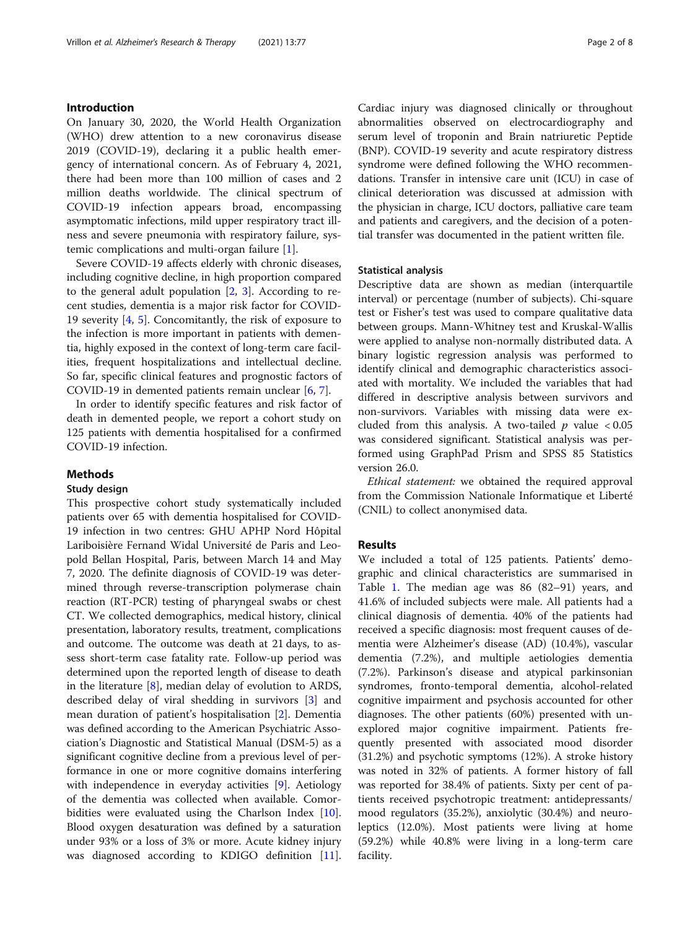#### Introduction

On January 30, 2020, the World Health Organization (WHO) drew attention to a new coronavirus disease 2019 (COVID-19), declaring it a public health emergency of international concern. As of February 4, 2021, there had been more than 100 million of cases and 2 million deaths worldwide. The clinical spectrum of COVID-19 infection appears broad, encompassing asymptomatic infections, mild upper respiratory tract illness and severe pneumonia with respiratory failure, systemic complications and multi-organ failure [[1](#page-6-0)].

Severe COVID-19 affects elderly with chronic diseases, including cognitive decline, in high proportion compared to the general adult population  $[2, 3]$  $[2, 3]$  $[2, 3]$  $[2, 3]$ . According to recent studies, dementia is a major risk factor for COVID-19 severity [\[4,](#page-6-0) [5](#page-6-0)]. Concomitantly, the risk of exposure to the infection is more important in patients with dementia, highly exposed in the context of long-term care facilities, frequent hospitalizations and intellectual decline. So far, specific clinical features and prognostic factors of COVID-19 in demented patients remain unclear [[6,](#page-6-0) [7\]](#page-6-0).

In order to identify specific features and risk factor of death in demented people, we report a cohort study on 125 patients with dementia hospitalised for a confirmed COVID-19 infection.

### Methods

### Study design

This prospective cohort study systematically included patients over 65 with dementia hospitalised for COVID-19 infection in two centres: GHU APHP Nord Hôpital Lariboisière Fernand Widal Université de Paris and Leopold Bellan Hospital, Paris, between March 14 and May 7, 2020. The definite diagnosis of COVID-19 was determined through reverse-transcription polymerase chain reaction (RT-PCR) testing of pharyngeal swabs or chest CT. We collected demographics, medical history, clinical presentation, laboratory results, treatment, complications and outcome. The outcome was death at 21 days, to assess short-term case fatality rate. Follow-up period was determined upon the reported length of disease to death in the literature [[8\]](#page-6-0), median delay of evolution to ARDS, described delay of viral shedding in survivors [\[3](#page-6-0)] and mean duration of patient's hospitalisation [[2\]](#page-6-0). Dementia was defined according to the American Psychiatric Association's Diagnostic and Statistical Manual (DSM-5) as a significant cognitive decline from a previous level of performance in one or more cognitive domains interfering with independence in everyday activities [[9\]](#page-7-0). Aetiology of the dementia was collected when available. Comor-bidities were evaluated using the Charlson Index [\[10](#page-7-0)]. Blood oxygen desaturation was defined by a saturation under 93% or a loss of 3% or more. Acute kidney injury was diagnosed according to KDIGO definition [\[11](#page-7-0)]. Cardiac injury was diagnosed clinically or throughout abnormalities observed on electrocardiography and serum level of troponin and Brain natriuretic Peptide (BNP). COVID-19 severity and acute respiratory distress syndrome were defined following the WHO recommendations. Transfer in intensive care unit (ICU) in case of clinical deterioration was discussed at admission with the physician in charge, ICU doctors, palliative care team and patients and caregivers, and the decision of a potential transfer was documented in the patient written file.

#### Statistical analysis

Descriptive data are shown as median (interquartile interval) or percentage (number of subjects). Chi-square test or Fisher's test was used to compare qualitative data between groups. Mann-Whitney test and Kruskal-Wallis were applied to analyse non-normally distributed data. A binary logistic regression analysis was performed to identify clinical and demographic characteristics associated with mortality. We included the variables that had differed in descriptive analysis between survivors and non-survivors. Variables with missing data were excluded from this analysis. A two-tailed  $p$  value < 0.05 was considered significant. Statistical analysis was performed using GraphPad Prism and SPSS 85 Statistics version 26.0.

Ethical statement: we obtained the required approval from the Commission Nationale Informatique et Liberté (CNIL) to collect anonymised data.

#### Results

We included a total of 125 patients. Patients' demographic and clinical characteristics are summarised in Table [1](#page-2-0). The median age was 86 (82–91) years, and 41.6% of included subjects were male. All patients had a clinical diagnosis of dementia. 40% of the patients had received a specific diagnosis: most frequent causes of dementia were Alzheimer's disease (AD) (10.4%), vascular dementia (7.2%), and multiple aetiologies dementia (7.2%). Parkinson's disease and atypical parkinsonian syndromes, fronto-temporal dementia, alcohol-related cognitive impairment and psychosis accounted for other diagnoses. The other patients (60%) presented with unexplored major cognitive impairment. Patients frequently presented with associated mood disorder (31.2%) and psychotic symptoms (12%). A stroke history was noted in 32% of patients. A former history of fall was reported for 38.4% of patients. Sixty per cent of patients received psychotropic treatment: antidepressants/ mood regulators (35.2%), anxiolytic (30.4%) and neuroleptics (12.0%). Most patients were living at home (59.2%) while 40.8% were living in a long-term care facility.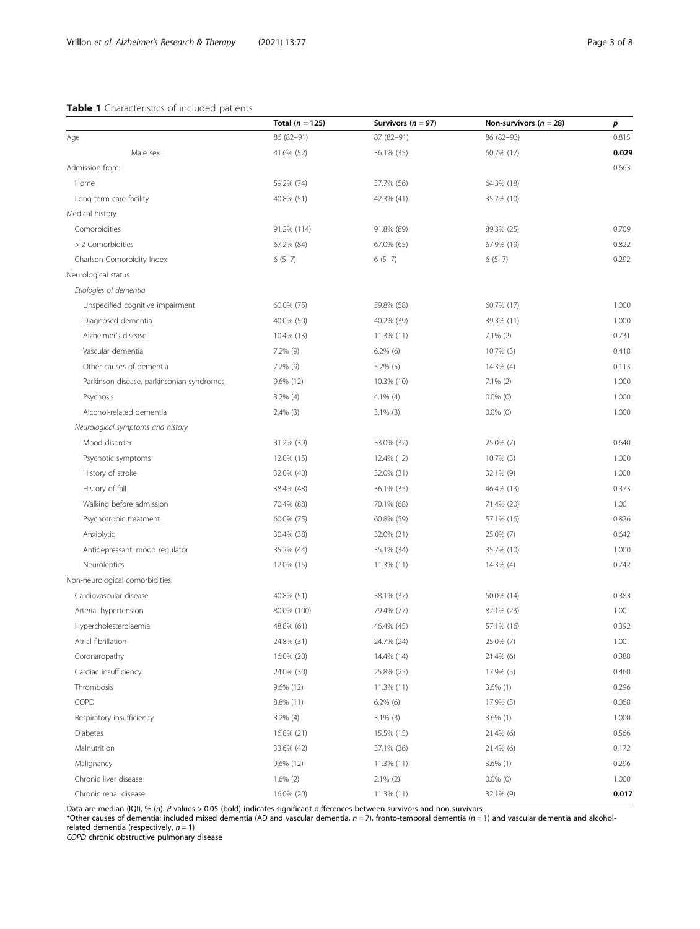# <span id="page-2-0"></span>Table 1 Characteristics of included patients

|                                           | Total ( $n = 125$ ) | Survivors ( $n = 97$ ) | Non-survivors ( $n = 28$ ) | р     |
|-------------------------------------------|---------------------|------------------------|----------------------------|-------|
| Age                                       | 86 (82-91)          | 87 (82-91)             | 86 (82-93)                 | 0.815 |
| Male sex                                  | 41.6% (52)          | 36.1% (35)             | 60.7% (17)                 | 0.029 |
| Admission from:                           |                     |                        |                            | 0.663 |
| Home                                      | 59.2% (74)          | 57.7% (56)             | 64.3% (18)                 |       |
| Long-term care facility                   | 40.8% (51)          | 42.3% (41)             | 35.7% (10)                 |       |
| Medical history                           |                     |                        |                            |       |
| Comorbidities                             | 91.2% (114)         | 91.8% (89)             | 89.3% (25)                 | 0.709 |
| > 2 Comorbidities                         | 67.2% (84)          | 67.0% (65)             | 67.9% (19)                 | 0.822 |
| Charlson Comorbidity Index                | $6(5-7)$            | $6(5-7)$               | $6(5-7)$                   | 0.292 |
| Neurological status                       |                     |                        |                            |       |
| Etiologies of dementia                    |                     |                        |                            |       |
| Unspecified cognitive impairment          | 60.0% (75)          | 59.8% (58)             | 60.7% (17)                 | 1.000 |
| Diagnosed dementia                        | 40.0% (50)          | 40.2% (39)             | 39.3% (11)                 | 1.000 |
| Alzheimer's disease                       | 10.4% (13)          | 11.3% (11)             | $7.1\%$ (2)                | 0.731 |
| Vascular dementia                         | 7.2% (9)            | $6.2\%$ (6)            | 10.7% (3)                  | 0.418 |
| Other causes of dementia                  | 7.2% (9)            | $5.2\%$ (5)            | 14.3% (4)                  | 0.113 |
| Parkinson disease, parkinsonian syndromes | 9.6% (12)           | 10.3% (10)             | $7.1\%$ (2)                | 1.000 |
| Psychosis                                 | $3.2\%$ (4)         | 4.1% (4)               | $0.0\%$ (0)                | 1.000 |
| Alcohol-related dementia                  | $2.4\%$ (3)         | $3.1\%$ (3)            | $0.0\%$ (0)                | 1.000 |
| Neurological symptoms and history         |                     |                        |                            |       |
| Mood disorder                             | 31.2% (39)          | 33.0% (32)             | 25.0% (7)                  | 0.640 |
| Psychotic symptoms                        | 12.0% (15)          | 12.4% (12)             | 10.7% (3)                  | 1.000 |
| History of stroke                         | 32.0% (40)          | 32.0% (31)             | 32.1% (9)                  | 1.000 |
| History of fall                           | 38.4% (48)          | 36.1% (35)             | 46.4% (13)                 | 0.373 |
| Walking before admission                  | 70.4% (88)          | 70.1% (68)             | 71.4% (20)                 | 1.00  |
| Psychotropic treatment                    | 60.0% (75)          | 60.8% (59)             | 57.1% (16)                 | 0.826 |
| Anxiolytic                                | 30.4% (38)          | 32.0% (31)             | 25.0% (7)                  | 0.642 |
| Antidepressant, mood regulator            | 35.2% (44)          | 35.1% (34)             | 35.7% (10)                 | 1.000 |
| Neuroleptics                              | 12.0% (15)          | 11.3% (11)             | 14.3% (4)                  | 0.742 |
| Non-neurological comorbidities            |                     |                        |                            |       |
| Cardiovascular disease                    | 40.8% (51)          | 38.1% (37)             | 50.0% (14)                 | 0.383 |
| Arterial hypertension                     | 80.0% (100)         | 79.4% (77)             | 82.1% (23)                 | 1.00  |
| Hypercholesterolaemia                     | 48.8% (61)          | 46.4% (45)             | 57.1% (16)                 | 0.392 |
| Atrial fibrillation                       | 24.8% (31)          | 24.7% (24)             | 25.0% (7)                  | 1.00  |
| Coronaropathy                             | 16.0% (20)          | 14.4% (14)             | 21.4% (6)                  | 0.388 |
| Cardiac insufficiency                     | 24.0% (30)          | 25.8% (25)             | 17.9% (5)                  | 0.460 |
| Thrombosis                                | 9.6% (12)           | $11.3\%$ (11)          | $3.6\%$ (1)                | 0.296 |
| COPD                                      | 8.8% (11)           | $6.2\%$ (6)            | 17.9% (5)                  | 0.068 |
| Respiratory insufficiency                 | $3.2\%$ (4)         | $3.1\%$ (3)            | $3.6\%$ (1)                | 1.000 |
| Diabetes                                  | 16.8% (21)          | 15.5% (15)             | 21.4% (6)                  | 0.566 |
| Malnutrition                              | 33.6% (42)          | 37.1% (36)             | 21.4% (6)                  | 0.172 |
| Malignancy                                | 9.6% (12)           | 11.3% (11)             | $3.6\%$ (1)                | 0.296 |
| Chronic liver disease                     | $1.6\%$ (2)         | $2.1\%$ (2)            | $0.0\%$ (0)                | 1.000 |
| Chronic renal disease                     | 16.0% (20)          | 11.3% (11)             | 32.1% (9)                  | 0.017 |

Data are median (IQI), % (n). P values > 0.05 (bold) indicates significant differences between survivors and non-survivors<br>\*Other causes of dementia: included mixed dementia (AD and vascular dementia, n = 7), fronto-tempor

related dementia (respectively, *n* = 1)<br>*COPD* chronic obstructive pulmonary disease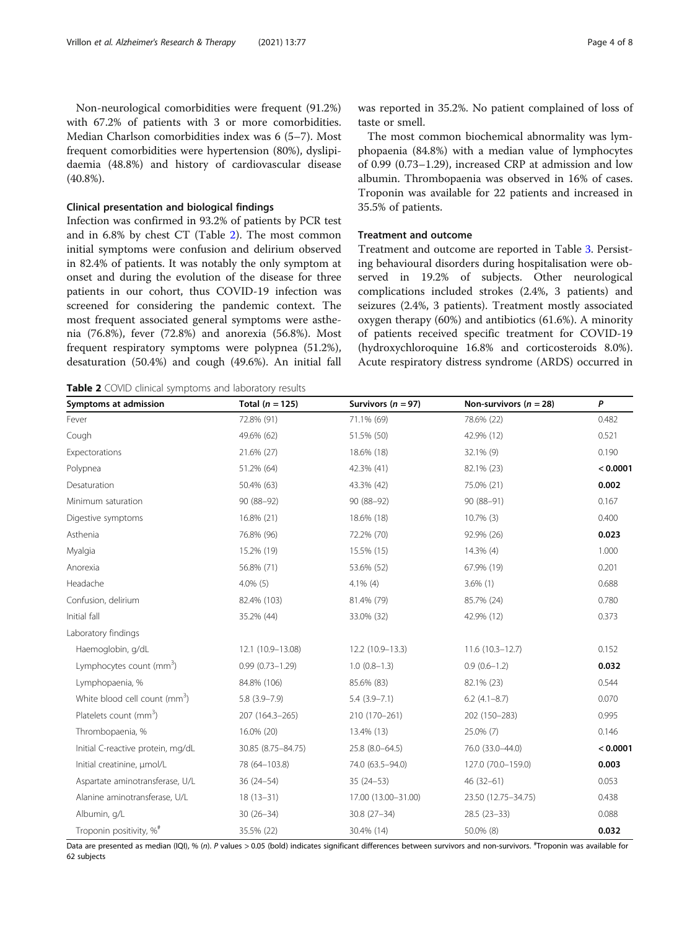Non-neurological comorbidities were frequent (91.2%) with 67.2% of patients with 3 or more comorbidities. Median Charlson comorbidities index was 6 (5–7). Most frequent comorbidities were hypertension (80%), dyslipidaemia (48.8%) and history of cardiovascular disease (40.8%).

#### Clinical presentation and biological findings

Infection was confirmed in 93.2% of patients by PCR test and in 6.8% by chest CT (Table 2). The most common initial symptoms were confusion and delirium observed in 82.4% of patients. It was notably the only symptom at onset and during the evolution of the disease for three patients in our cohort, thus COVID-19 infection was screened for considering the pandemic context. The most frequent associated general symptoms were asthenia (76.8%), fever (72.8%) and anorexia (56.8%). Most frequent respiratory symptoms were polypnea (51.2%), desaturation (50.4%) and cough (49.6%). An initial fall

Table 2 COVID clinical symptoms and laboratory results

was reported in 35.2%. No patient complained of loss of taste or smell.

The most common biochemical abnormality was lymphopaenia (84.8%) with a median value of lymphocytes of 0.99 (0.73–1.29), increased CRP at admission and low albumin. Thrombopaenia was observed in 16% of cases. Troponin was available for 22 patients and increased in 35.5% of patients.

#### Treatment and outcome

Treatment and outcome are reported in Table [3.](#page-4-0) Persisting behavioural disorders during hospitalisation were observed in 19.2% of subjects. Other neurological complications included strokes (2.4%, 3 patients) and seizures (2.4%, 3 patients). Treatment mostly associated oxygen therapy (60%) and antibiotics (61.6%). A minority of patients received specific treatment for COVID-19 (hydroxychloroquine 16.8% and corticosteroids 8.0%). Acute respiratory distress syndrome (ARDS) occurred in

| Symptoms at admission                     | Total $(n = 125)$   | Survivors ( $n = 97$ ) | Non-survivors ( $n = 28$ ) | P        |
|-------------------------------------------|---------------------|------------------------|----------------------------|----------|
| Fever                                     | 72.8% (91)          | 71.1% (69)             | 78.6% (22)                 | 0.482    |
| Cough                                     | 49.6% (62)          | 51.5% (50)             | 42.9% (12)                 | 0.521    |
| Expectorations                            | 21.6% (27)          | 18.6% (18)             | 32.1% (9)                  | 0.190    |
| Polypnea                                  | 51.2% (64)          | 42.3% (41)             | 82.1% (23)                 | < 0.0001 |
| Desaturation                              | 50.4% (63)          | 43.3% (42)             | 75.0% (21)                 | 0.002    |
| Minimum saturation                        | 90 (88-92)          | 90 (88-92)             | 90 (88-91)                 | 0.167    |
| Digestive symptoms                        | 16.8% (21)          | 18.6% (18)             | $10.7\%$ (3)               | 0.400    |
| Asthenia                                  | 76.8% (96)          | 72.2% (70)             | 92.9% (26)                 | 0.023    |
| Myalgia                                   | 15.2% (19)          | 15.5% (15)             | 14.3% (4)                  | 1.000    |
| Anorexia                                  | 56.8% (71)          | 53.6% (52)             | 67.9% (19)                 | 0.201    |
| Headache                                  | $4.0\%$ (5)         | $4.1\%$ (4)            | $3.6\%$ (1)                | 0.688    |
| Confusion, delirium                       | 82.4% (103)         | 81.4% (79)             | 85.7% (24)                 | 0.780    |
| Initial fall                              | 35.2% (44)          | 33.0% (32)             | 42.9% (12)                 | 0.373    |
| Laboratory findings                       |                     |                        |                            |          |
| Haemoglobin, g/dL                         | 12.1 (10.9-13.08)   | 12.2 (10.9-13.3)       | $11.6(10.3 - 12.7)$        | 0.152    |
| Lymphocytes count (mm <sup>3</sup> )      | $0.99(0.73 - 1.29)$ | $1.0(0.8-1.3)$         | $0.9(0.6-1.2)$             | 0.032    |
| Lymphopaenia, %                           | 84.8% (106)         | 85.6% (83)             | 82.1% (23)                 | 0.544    |
| White blood cell count (mm <sup>3</sup> ) | $5.8(3.9 - 7.9)$    | $5.4(3.9 - 7.1)$       | $6.2$ (4.1-8.7)            | 0.070    |
| Platelets count (mm <sup>3</sup> )        | 207 (164.3-265)     | 210 (170-261)          | 202 (150-283)              | 0.995    |
| Thrombopaenia, %                          | 16.0% (20)          | 13.4% (13)             | 25.0% (7)                  | 0.146    |
| Initial C-reactive protein, mg/dL         | 30.85 (8.75-84.75)  | 25.8 (8.0-64.5)        | 76.0 (33.0-44.0)           | < 0.0001 |
| Initial creatinine, µmol/L                | 78 (64-103.8)       | 74.0 (63.5-94.0)       | 127.0 (70.0-159.0)         | 0.003    |
| Aspartate aminotransferase, U/L           | $36(24 - 54)$       | $35(24-53)$            | $46(32-61)$                | 0.053    |
| Alanine aminotransferase, U/L             | $18(13-31)$         | 17.00 (13.00-31.00)    | 23.50 (12.75-34.75)        | 0.438    |
| Albumin, q/L                              | $30(26-34)$         | $30.8(27-34)$          | $28.5(23-33)$              | 0.088    |
| Troponin positivity, % <sup>#</sup>       | 35.5% (22)          | 30.4% (14)             | 50.0% (8)                  | 0.032    |

Data are presented as median (IQI), % (n). P values > 0.05 (bold) indicates significant differences between survivors and non-survivors. <sup>#</sup>Troponin was available for 62 subjects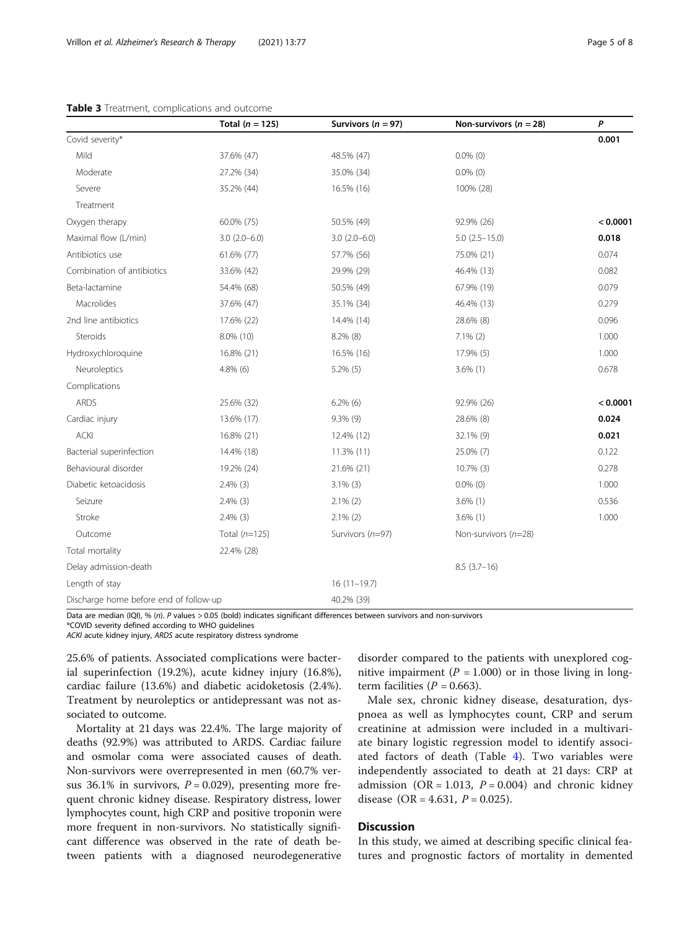#### <span id="page-4-0"></span>Table 3 Treatment, complications and outcome

|                                        | Total $(n = 125)$ | Survivors ( $n = 97$ ) | Non-survivors ( $n = 28$ ) | P        |
|----------------------------------------|-------------------|------------------------|----------------------------|----------|
| Covid severity*                        |                   |                        |                            | 0.001    |
| Mild                                   | 37.6% (47)        | 48.5% (47)             | $0.0\%$ (0)                |          |
| Moderate                               | 27.2% (34)        | 35.0% (34)             | $0.0\%$ (0)                |          |
| Severe                                 | 35.2% (44)        | 16.5% (16)             | 100% (28)                  |          |
| Treatment                              |                   |                        |                            |          |
| Oxygen therapy                         | 60.0% (75)        | 50.5% (49)             | 92.9% (26)                 | < 0.0001 |
| Maximal flow (L/min)                   | $3.0(2.0-6.0)$    | $3.0(2.0-6.0)$         | $5.0$ $(2.5 - 15.0)$       | 0.018    |
| Antibiotics use                        | 61.6% (77)        | 57.7% (56)             | 75.0% (21)                 | 0.074    |
| Combination of antibiotics             | 33.6% (42)        | 29.9% (29)             | 46.4% (13)                 | 0.082    |
| Beta-lactamine                         | 54.4% (68)        | 50.5% (49)             | 67.9% (19)                 | 0.079    |
| Macrolides                             | 37.6% (47)        | 35.1% (34)             | 46.4% (13)                 | 0.279    |
| 2nd line antibiotics                   | 17.6% (22)        | 14.4% (14)             | 28.6% (8)                  | 0.096    |
| Steroids                               | 8.0% (10)         | $8.2\%$ (8)            | $7.1\%$ (2)                | 1.000    |
| Hydroxychloroquine                     | 16.8% (21)        | 16.5% (16)             | 17.9% (5)                  | 1.000    |
| Neuroleptics                           | $4.8\%$ (6)       | $5.2\%$ (5)            | $3.6\%$ (1)                | 0.678    |
| Complications                          |                   |                        |                            |          |
| <b>ARDS</b>                            | 25.6% (32)        | $6.2\%$ (6)            | 92.9% (26)                 | < 0.0001 |
| Cardiac injury                         | 13.6% (17)        | $9.3\%$ (9)            | 28.6% (8)                  | 0.024    |
| <b>ACKI</b>                            | 16.8% (21)        | 12.4% (12)             | 32.1% (9)                  | 0.021    |
| Bacterial superinfection               | 14.4% (18)        | 11.3% (11)             | 25.0% (7)                  | 0.122    |
| Behavioural disorder                   | 19.2% (24)        | 21.6% (21)             | 10.7% (3)                  | 0.278    |
| Diabetic ketoacidosis                  | $2.4\%$ (3)       | $3.1\%$ (3)            | $0.0\%$ (0)                | 1.000    |
| Seizure                                | $2.4\%$ (3)       | $2.1\%$ (2)            | $3.6\%$ (1)                | 0.536    |
| Stroke                                 | $2.4\%$ (3)       | $2.1\%$ (2)            | $3.6\%$ (1)                | 1.000    |
| Outcome                                | Total $(n=125)$   | Survivors (n=97)       | Non-survivors (n=28)       |          |
| Total mortality                        | 22.4% (28)        |                        |                            |          |
| Delay admission-death                  |                   |                        | $8.5(3.7-16)$              |          |
| Length of stay                         |                   | $16(11-19.7)$          |                            |          |
| Discharge home before end of follow-up |                   | 40.2% (39)             |                            |          |

Data are median (IQI), % (n). P values > 0.05 (bold) indicates significant differences between survivors and non-survivors

\*COVID severity defined according to WHO guidelines

ACKI acute kidney injury, ARDS acute respiratory distress syndrome

25.6% of patients. Associated complications were bacterial superinfection (19.2%), acute kidney injury (16.8%), cardiac failure (13.6%) and diabetic acidoketosis (2.4%). Treatment by neuroleptics or antidepressant was not associated to outcome.

Mortality at 21 days was 22.4%. The large majority of deaths (92.9%) was attributed to ARDS. Cardiac failure and osmolar coma were associated causes of death. Non-survivors were overrepresented in men (60.7% versus 36.1% in survivors,  $P = 0.029$ ), presenting more frequent chronic kidney disease. Respiratory distress, lower lymphocytes count, high CRP and positive troponin were more frequent in non-survivors. No statistically significant difference was observed in the rate of death between patients with a diagnosed neurodegenerative

disorder compared to the patients with unexplored cognitive impairment ( $P = 1.000$ ) or in those living in longterm facilities ( $P = 0.663$ ).

Male sex, chronic kidney disease, desaturation, dyspnoea as well as lymphocytes count, CRP and serum creatinine at admission were included in a multivariate binary logistic regression model to identify associated factors of death (Table [4](#page-5-0)). Two variables were independently associated to death at 21 days: CRP at admission (OR = 1.013,  $P = 0.004$ ) and chronic kidney disease (OR = 4.631,  $P = 0.025$ ).

# **Discussion**

In this study, we aimed at describing specific clinical features and prognostic factors of mortality in demented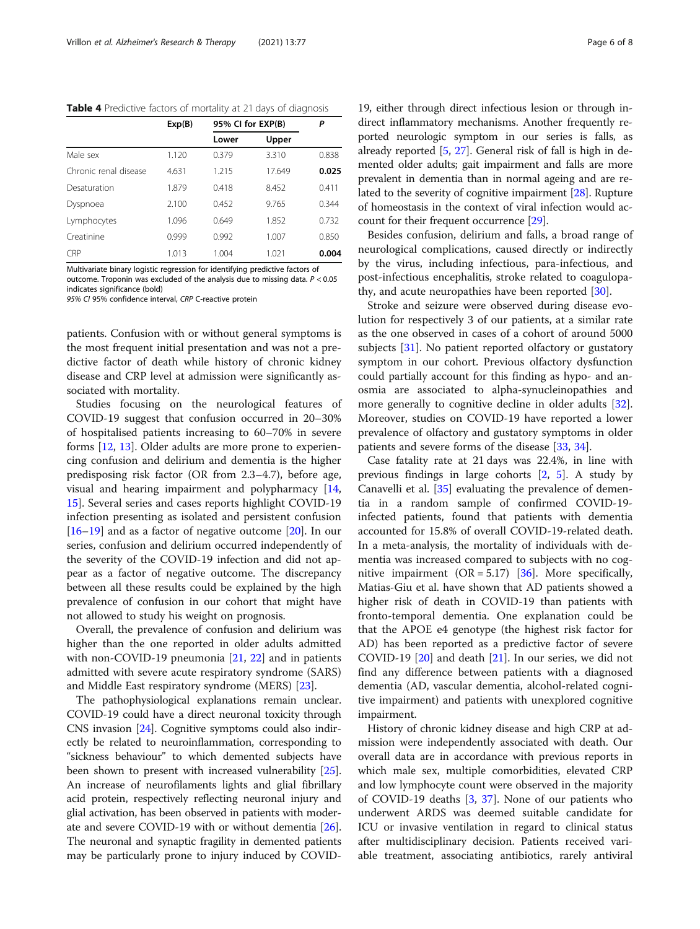<span id="page-5-0"></span>Table 4 Predictive factors of mortality at 21 days of diagnosis

|                       | Exp(B) | 95% CI for EXP(B) |        | Ρ     |
|-----------------------|--------|-------------------|--------|-------|
|                       |        | Lower             | Upper  |       |
| Male sex              | 1.120  | 0.379             | 3.310  | 0.838 |
| Chronic renal disease | 4.631  | 1.215             | 17.649 | 0.025 |
| Desaturation          | 1.879  | 0.418             | 8.452  | 0.411 |
| Dyspnoea              | 2.100  | 0.452             | 9.765  | 0.344 |
| Lymphocytes           | 1.096  | 0.649             | 1.852  | 0.732 |
| Creatinine            | 0.999  | 0.992             | 1.007  | 0.850 |
| <b>CRP</b>            | 1.013  | 1.004             | 1.021  | 0.004 |

Multivariate binary logistic regression for identifying predictive factors of outcome. Troponin was excluded of the analysis due to missing data. P < 0.05 indicates significance (bold)

95% CI 95% confidence interval, CRP C-reactive protein

patients. Confusion with or without general symptoms is the most frequent initial presentation and was not a predictive factor of death while history of chronic kidney disease and CRP level at admission were significantly associated with mortality.

Studies focusing on the neurological features of COVID-19 suggest that confusion occurred in 20–30% of hospitalised patients increasing to 60–70% in severe forms [[12](#page-7-0), [13](#page-7-0)]. Older adults are more prone to experiencing confusion and delirium and dementia is the higher predisposing risk factor (OR from 2.3–4.7), before age, visual and hearing impairment and polypharmacy [[14](#page-7-0), [15\]](#page-7-0). Several series and cases reports highlight COVID-19 infection presenting as isolated and persistent confusion [[16](#page-7-0)–[19](#page-7-0)] and as a factor of negative outcome [\[20\]](#page-7-0). In our series, confusion and delirium occurred independently of the severity of the COVID-19 infection and did not appear as a factor of negative outcome. The discrepancy between all these results could be explained by the high prevalence of confusion in our cohort that might have not allowed to study his weight on prognosis.

Overall, the prevalence of confusion and delirium was higher than the one reported in older adults admitted with non-COVID-19 pneumonia [[21,](#page-7-0) [22\]](#page-7-0) and in patients admitted with severe acute respiratory syndrome (SARS) and Middle East respiratory syndrome (MERS) [[23\]](#page-7-0).

The pathophysiological explanations remain unclear. COVID-19 could have a direct neuronal toxicity through CNS invasion [[24](#page-7-0)]. Cognitive symptoms could also indirectly be related to neuroinflammation, corresponding to "sickness behaviour" to which demented subjects have been shown to present with increased vulnerability [[25](#page-7-0)]. An increase of neurofilaments lights and glial fibrillary acid protein, respectively reflecting neuronal injury and glial activation, has been observed in patients with moderate and severe COVID-19 with or without dementia [[26](#page-7-0)]. The neuronal and synaptic fragility in demented patients may be particularly prone to injury induced by COVID-

19, either through direct infectious lesion or through indirect inflammatory mechanisms. Another frequently reported neurologic symptom in our series is falls, as already reported [\[5,](#page-6-0) [27\]](#page-7-0). General risk of fall is high in demented older adults; gait impairment and falls are more prevalent in dementia than in normal ageing and are related to the severity of cognitive impairment [\[28](#page-7-0)]. Rupture of homeostasis in the context of viral infection would account for their frequent occurrence [\[29\]](#page-7-0).

Besides confusion, delirium and falls, a broad range of neurological complications, caused directly or indirectly by the virus, including infectious, para-infectious, and post-infectious encephalitis, stroke related to coagulopathy, and acute neuropathies have been reported [[30\]](#page-7-0).

Stroke and seizure were observed during disease evolution for respectively 3 of our patients, at a similar rate as the one observed in cases of a cohort of around 5000 subjects [[31\]](#page-7-0). No patient reported olfactory or gustatory symptom in our cohort. Previous olfactory dysfunction could partially account for this finding as hypo- and anosmia are associated to alpha-synucleinopathies and more generally to cognitive decline in older adults [\[32](#page-7-0)]. Moreover, studies on COVID-19 have reported a lower prevalence of olfactory and gustatory symptoms in older patients and severe forms of the disease [[33,](#page-7-0) [34\]](#page-7-0).

Case fatality rate at 21 days was 22.4%, in line with previous findings in large cohorts [[2,](#page-6-0) [5](#page-6-0)]. A study by Canavelli et al. [\[35\]](#page-7-0) evaluating the prevalence of dementia in a random sample of confirmed COVID-19 infected patients, found that patients with dementia accounted for 15.8% of overall COVID-19-related death. In a meta-analysis, the mortality of individuals with dementia was increased compared to subjects with no cognitive impairment  $(OR = 5.17)$  [[36\]](#page-7-0). More specifically, Matias-Giu et al. have shown that AD patients showed a higher risk of death in COVID-19 than patients with fronto-temporal dementia. One explanation could be that the APOE e4 genotype (the highest risk factor for AD) has been reported as a predictive factor of severe COVID-19 [[20\]](#page-7-0) and death [\[21\]](#page-7-0). In our series, we did not find any difference between patients with a diagnosed dementia (AD, vascular dementia, alcohol-related cognitive impairment) and patients with unexplored cognitive impairment.

History of chronic kidney disease and high CRP at admission were independently associated with death. Our overall data are in accordance with previous reports in which male sex, multiple comorbidities, elevated CRP and low lymphocyte count were observed in the majority of COVID-19 deaths [[3,](#page-6-0) [37\]](#page-7-0). None of our patients who underwent ARDS was deemed suitable candidate for ICU or invasive ventilation in regard to clinical status after multidisciplinary decision. Patients received variable treatment, associating antibiotics, rarely antiviral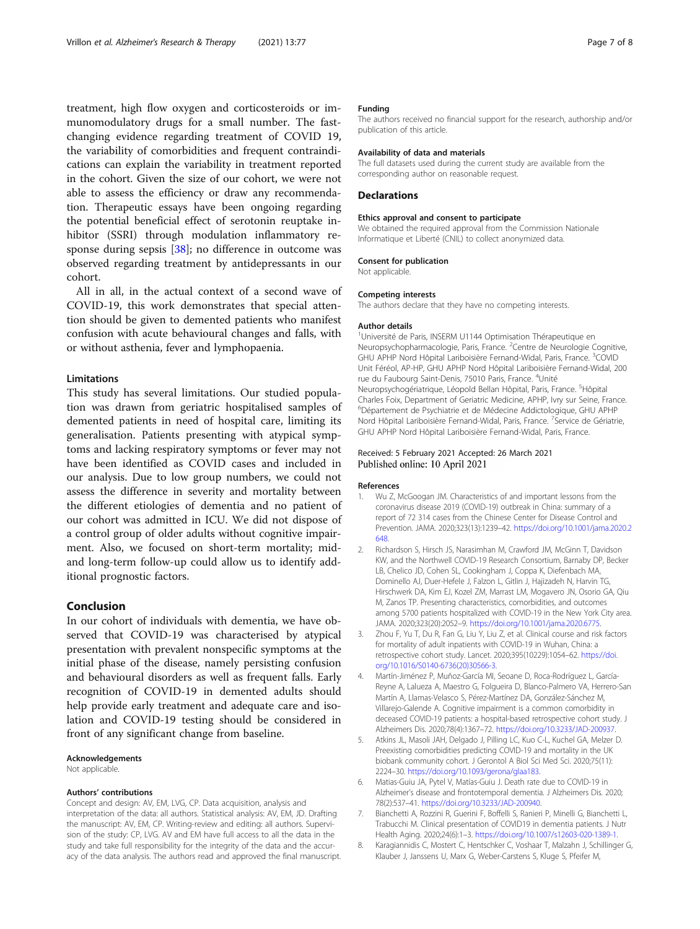<span id="page-6-0"></span>treatment, high flow oxygen and corticosteroids or immunomodulatory drugs for a small number. The fastchanging evidence regarding treatment of COVID 19, the variability of comorbidities and frequent contraindications can explain the variability in treatment reported in the cohort. Given the size of our cohort, we were not able to assess the efficiency or draw any recommendation. Therapeutic essays have been ongoing regarding the potential beneficial effect of serotonin reuptake inhibitor (SSRI) through modulation inflammatory response during sepsis [\[38](#page-7-0)]; no difference in outcome was observed regarding treatment by antidepressants in our cohort.

All in all, in the actual context of a second wave of COVID-19, this work demonstrates that special attention should be given to demented patients who manifest confusion with acute behavioural changes and falls, with or without asthenia, fever and lymphopaenia.

### Limitations

This study has several limitations. Our studied population was drawn from geriatric hospitalised samples of demented patients in need of hospital care, limiting its generalisation. Patients presenting with atypical symptoms and lacking respiratory symptoms or fever may not have been identified as COVID cases and included in our analysis. Due to low group numbers, we could not assess the difference in severity and mortality between the different etiologies of dementia and no patient of our cohort was admitted in ICU. We did not dispose of a control group of older adults without cognitive impairment. Also, we focused on short-term mortality; midand long-term follow-up could allow us to identify additional prognostic factors.

#### Conclusion

In our cohort of individuals with dementia, we have observed that COVID-19 was characterised by atypical presentation with prevalent nonspecific symptoms at the initial phase of the disease, namely persisting confusion and behavioural disorders as well as frequent falls. Early recognition of COVID-19 in demented adults should help provide early treatment and adequate care and isolation and COVID-19 testing should be considered in front of any significant change from baseline.

#### Acknowledgements

Not applicable.

#### Authors' contributions

Concept and design: AV, EM, LVG, CP. Data acquisition, analysis and interpretation of the data: all authors. Statistical analysis: AV, EM, JD. Drafting the manuscript: AV, EM, CP. Writing-review and editing: all authors. Supervision of the study: CP, LVG. AV and EM have full access to all the data in the study and take full responsibility for the integrity of the data and the accuracy of the data analysis. The authors read and approved the final manuscript.

#### Funding

The authors received no financial support for the research, authorship and/or publication of this article.

#### Availability of data and materials

The full datasets used during the current study are available from the corresponding author on reasonable request.

#### Declarations

#### Ethics approval and consent to participate

We obtained the required approval from the Commission Nationale Informatique et Liberté (CNIL) to collect anonymized data.

#### Consent for publication

Not applicable.

#### Competing interests

The authors declare that they have no competing interests.

#### Author details

<sup>1</sup>Université de Paris, INSERM U1144 Optimisation Thérapeutique en Neuropsychopharmacologie, Paris, France. <sup>2</sup>Centre de Neurologie Cognitive GHU APHP Nord Hôpital Lariboisière Fernand-Widal, Paris, France. <sup>3</sup>COVID Unit Féréol, AP-HP, GHU APHP Nord Hôpital Lariboisière Fernand-Widal, 200 rue du Faubourg Saint-Denis, 75010 Paris, France. <sup>4</sup>Unité Neuropsychogériatrique, Léopold Bellan Hôpital, Paris, France. <sup>5</sup>Hôpital Charles Foix, Department of Geriatric Medicine, APHP, Ivry sur Seine, France. 6 Département de Psychiatrie et de Médecine Addictologique, GHU APHP Nord Hôpital Lariboisière Fernand-Widal, Paris, France. <sup>7</sup> Service de Gériatrie GHU APHP Nord Hôpital Lariboisière Fernand-Widal, Paris, France.

#### Received: 5 February 2021 Accepted: 26 March 2021 Published online: 10 April 2021

#### References

- 1. Wu Z, McGoogan JM. Characteristics of and important lessons from the coronavirus disease 2019 (COVID-19) outbreak in China: summary of a report of 72 314 cases from the Chinese Center for Disease Control and Prevention. JAMA. 2020;323(13):1239–42. [https://doi.org/10.1001/jama.2020.2](https://doi.org/10.1001/jama.2020.2648) [648.](https://doi.org/10.1001/jama.2020.2648)
- 2. Richardson S, Hirsch JS, Narasimhan M, Crawford JM, McGinn T, Davidson KW, and the Northwell COVID-19 Research Consortium, Barnaby DP, Becker LB, Chelico JD, Cohen SL, Cookingham J, Coppa K, Diefenbach MA, Dominello AJ, Duer-Hefele J, Falzon L, Gitlin J, Hajizadeh N, Harvin TG, Hirschwerk DA, Kim EJ, Kozel ZM, Marrast LM, Mogavero JN, Osorio GA, Qiu M, Zanos TP. Presenting characteristics, comorbidities, and outcomes among 5700 patients hospitalized with COVID-19 in the New York City area. JAMA. 2020;323(20):2052–9. [https://doi.org/10.1001/jama.2020.6775.](https://doi.org/10.1001/jama.2020.6775)
- 3. Zhou F, Yu T, Du R, Fan G, Liu Y, Liu Z, et al. Clinical course and risk factors for mortality of adult inpatients with COVID-19 in Wuhan, China: a retrospective cohort study. Lancet. 2020;395(10229):1054–62. [https://doi.](https://doi.org/10.1016/S0140-6736(20)30566-3) [org/10.1016/S0140-6736\(20\)30566-3.](https://doi.org/10.1016/S0140-6736(20)30566-3)
- 4. Martín-Jiménez P, Muñoz-García MI, Seoane D, Roca-Rodríguez L, García-Reyne A, Lalueza A, Maestro G, Folgueira D, Blanco-Palmero VA, Herrero-San Martín A, Llamas-Velasco S, Pérez-Martínez DA, González-Sánchez M, Villarejo-Galende A. Cognitive impairment is a common comorbidity in deceased COVID-19 patients: a hospital-based retrospective cohort study. J Alzheimers Dis. 2020;78(4):1367–72. <https://doi.org/10.3233/JAD-200937>.
- 5. Atkins JL, Masoli JAH, Delgado J, Pilling LC, Kuo C-L, Kuchel GA, Melzer D. Preexisting comorbidities predicting COVID-19 and mortality in the UK biobank community cohort. J Gerontol A Biol Sci Med Sci. 2020;75(11): 2224–30. [https://doi.org/10.1093/gerona/glaa183.](https://doi.org/10.1093/gerona/glaa183)
- 6. Matias-Guiu JA, Pytel V, Matías-Guiu J. Death rate due to COVID-19 in Alzheimer's disease and frontotemporal dementia. J Alzheimers Dis. 2020; 78(2):537–41. [https://doi.org/10.3233/JAD-200940.](https://doi.org/10.3233/JAD-200940)
- 7. Bianchetti A, Rozzini R, Guerini F, Boffelli S, Ranieri P, Minelli G, Bianchetti L, Trabucchi M. Clinical presentation of COVID19 in dementia patients. J Nutr Health Aging. 2020;24(6):1–3. [https://doi.org/10.1007/s12603-020-1389-1.](https://doi.org/10.1007/s12603-020-1389-1)
- 8. Karagiannidis C, Mostert C, Hentschker C, Voshaar T, Malzahn J, Schillinger G, Klauber J, Janssens U, Marx G, Weber-Carstens S, Kluge S, Pfeifer M,